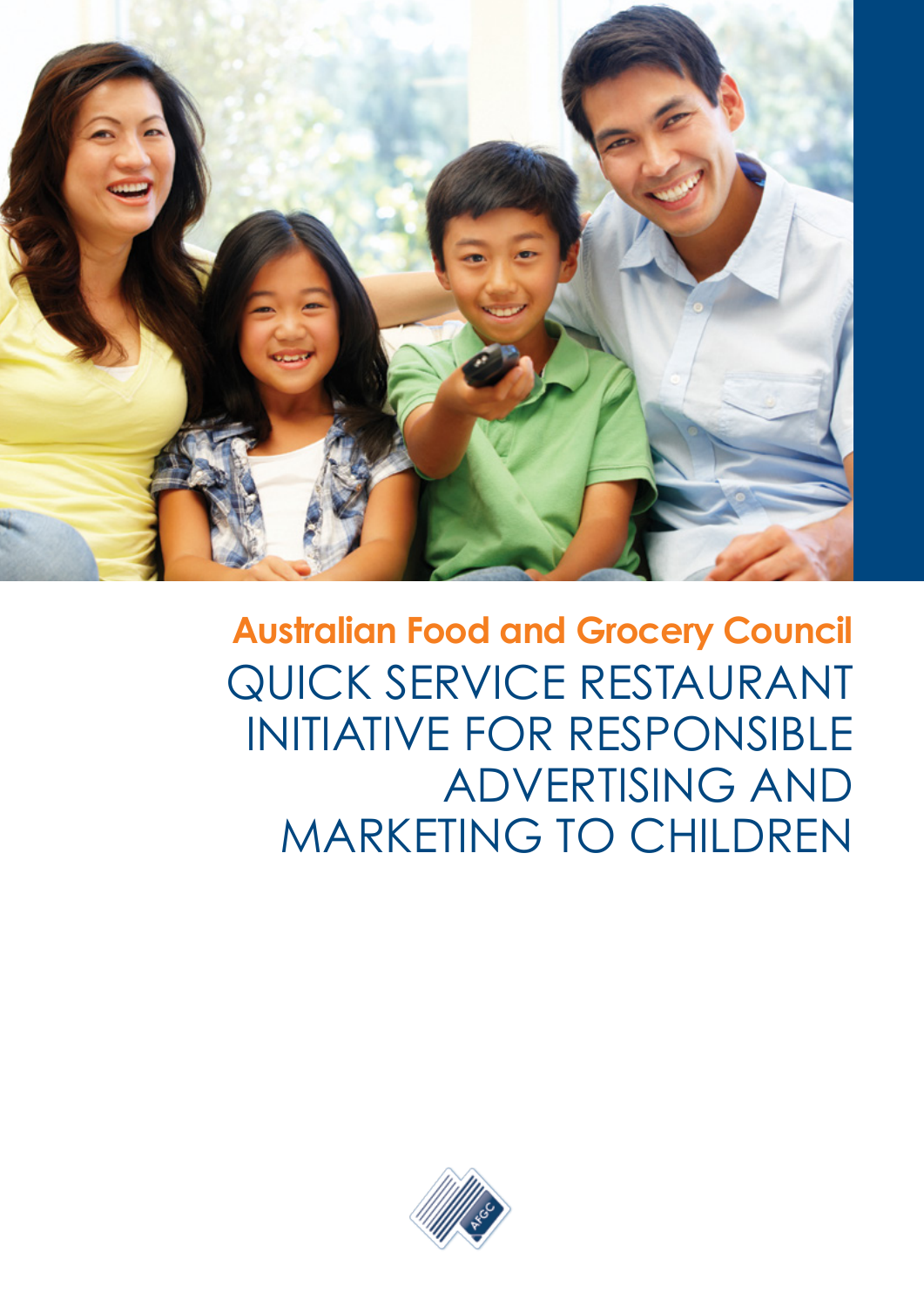

**Australian Food and Grocery Council** QUICK SERVICE RESTAURANT INITIATIVE FOR RESPONSIBLE ADVERTISING AND MARKETING TO CHILDREN

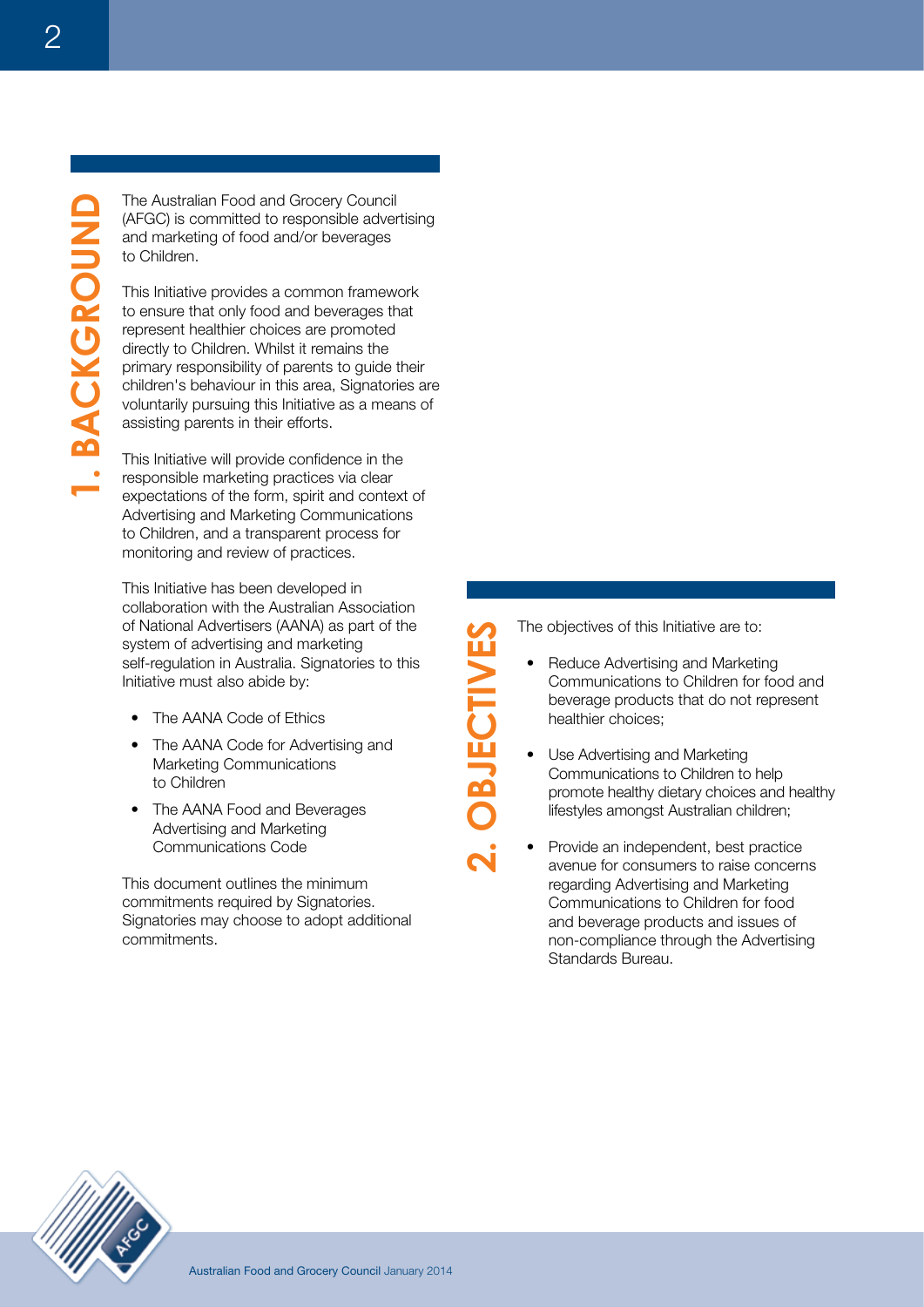The Australian Food and Grocery Council (AFGC) is committed to responsible advertising and marketing of food and/or beverages to Children.

This Initiative provides a common framework to ensure that only food and beverages that represent healthier choices are promoted directly to Children. Whilst it remains the primary responsibility of parents to guide their children's behaviour in this area, Signatories are voluntarily pursuing this Initiative as a means of assisting parents in their efforts.

This Initiative will provide confidence in the responsible marketing practices via clear expectations of the form, spirit and context of Advertising and Marketing Communications to Children, and a transparent process for monitoring and review of practices.

This Initiative has been developed in collaboration with the Australian Association of National Advertisers (AANA) as part of the system of advertising and marketing self-regulation in Australia. Signatories to this Initiative must also abide by:

- The AANA Code of Ethics
- The AANA Code for Advertising and Marketing Communications to Children
- The AANA Food and Beverages Advertising and Marketing Communications Code

This document outlines the minimum commitments required by Signatories. Signatories may choose to adopt additional commitments.

The objectives of this Initiative are to:

**2. OBJECTIVES**

OBJECTN

/ES

- Reduce Advertising and Marketing Communications to Children for food and beverage products that do not represent healthier choices;
- Use Advertising and Marketing Communications to Children to help promote healthy dietary choices and healthy lifestyles amongst Australian children;
- Provide an independent, best practice avenue for consumers to raise concerns regarding Advertising and Marketing Communications to Children for food and beverage products and issues of non-compliance through the Advertising Standards Bureau.

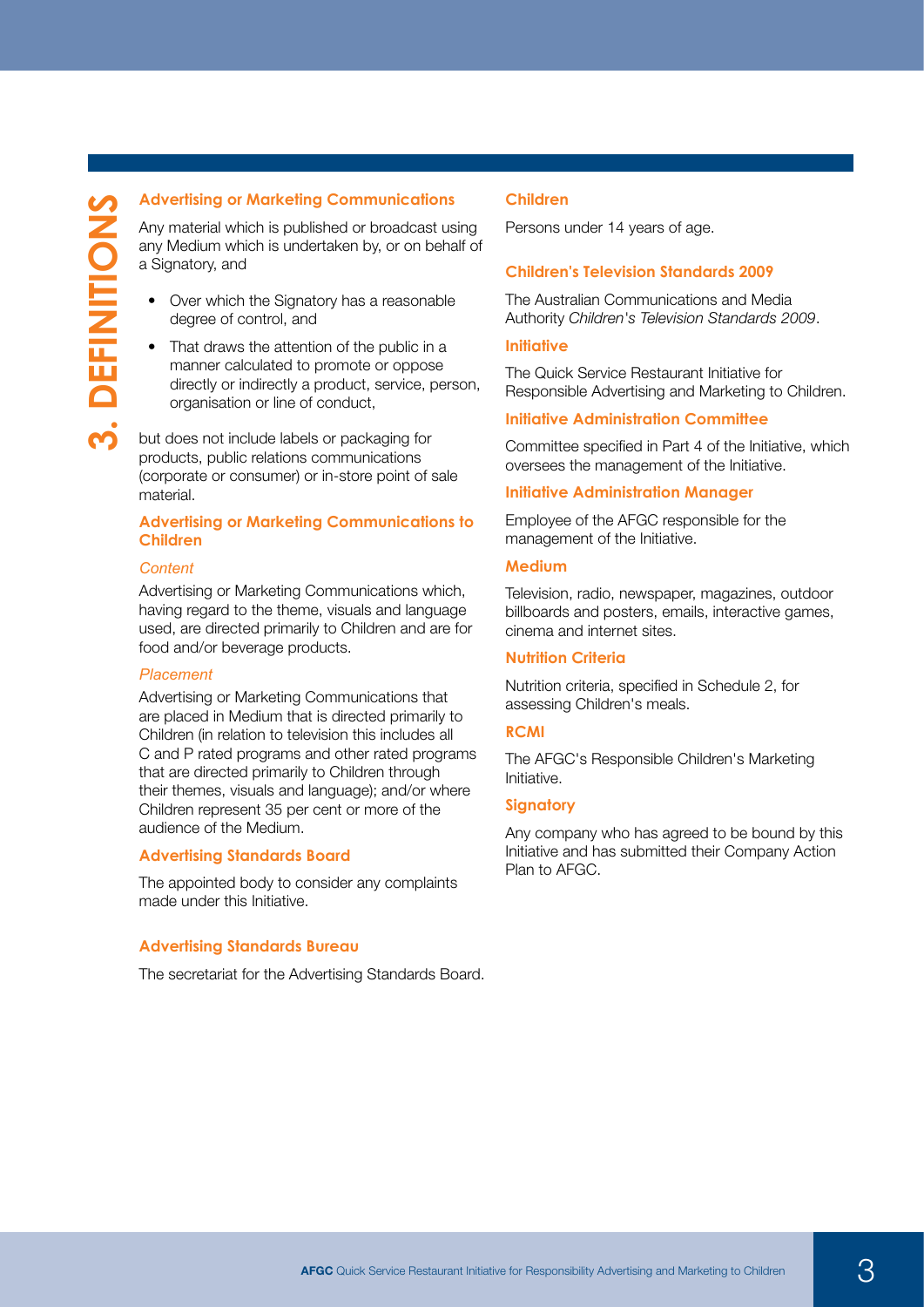Any material which is published or broadcast using any Medium which is undertaken by, or on behalf of a Signatory, and

- Over which the Signatory has a reasonable degree of control, and
- <span id="page-2-0"></span>Advertising or Marketing Communications<br>
Any material which is published or broadcast us<br>
any Medium which is undertaken by, or on beha<br>
a Signatory, and<br>
Over which the Signatory has a reasonable<br>
degree of control, and<br> That draws the attention of the public in a manner calculated to promote or oppose directly or indirectly a product, service, person, organisation or line of conduct,

but does not include labels or packaging for products, public relations communications (corporate or consumer) or in-store point of sale material.

#### **Advertising or Marketing Communications to Children**

#### *Content*

Advertising or Marketing Communications which, having regard to the theme, visuals and language used, are directed primarily to Children and are for food and/or beverage products.

#### *Placement*

Advertising or Marketing Communications that are placed in Medium that is directed primarily to Children (in relation to television this includes all C and P rated programs and other rated programs that are directed primarily to Children through their themes, visuals and language); and/or where Children represent 35 per cent or more of the audience of the Medium.

#### **Advertising Standards Board**

The appointed body to consider any complaints made under this Initiative.

#### **Advertising Standards Bureau**

The secretariat for the Advertising Standards Board.

#### **Children**

Persons under 14 years of age.

#### **Children's Television Standards 2009**

The Australian Communications and Media Authority *Children's Television Standards 2009*.

#### **Initiative**

The Quick Service Restaurant Initiative for Responsible Advertising and Marketing to Children.

#### **Initiative Administration Committee**

Committee specified in Part 4 of the Initiative, which oversees the management of the Initiative.

#### **Initiative Administration Manager**

Employee of the AFGC responsible for the management of the Initiative.

#### **Medium**

Television, radio, newspaper, magazines, outdoor billboards and posters, emails, interactive games, cinema and internet sites.

#### **Nutrition Criteria**

Nutrition criteria, specified in Schedule 2, for assessing Children's meals.

#### **RCMI**

The AFGC's Responsible Children's Marketing Initiative.

#### **Signatory**

Any company who has agreed to be bound by this Initiative and has submitted their Company Action Plan to AFGC.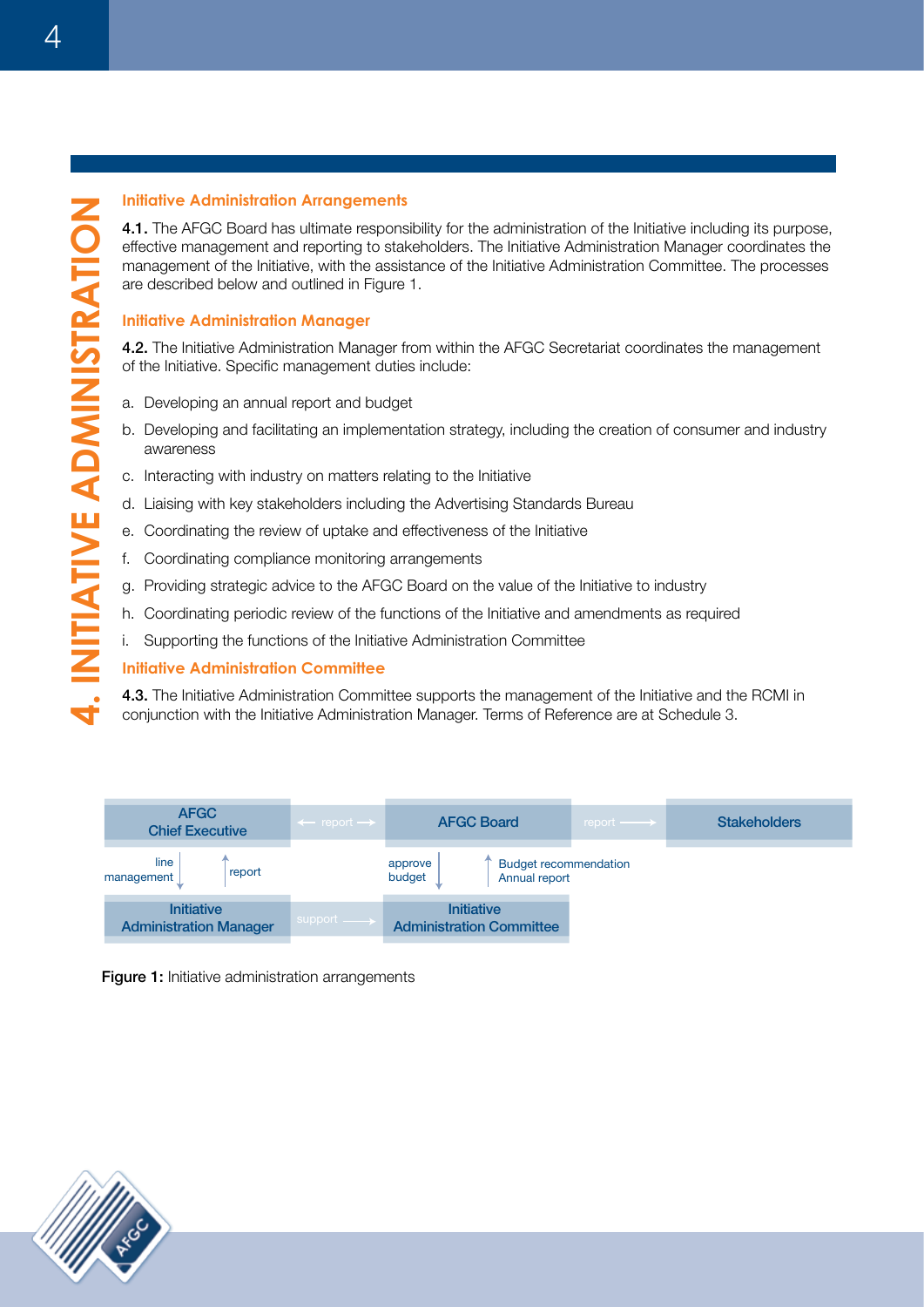#### **Initiative Administration Arrangements**

4.1. The AFGC Board has ultimate responsibility for the administration of the Initiative including its purpose, effective management and reporting to stakeholders. The Initiative Administration Manager coordinates the management of the Initiative, with the assistance of the Initiative Administration Committee. The processes are described below and outlined in Figure 1.

#### **Initiative Administration Manager**

4.2. The Initiative Administration Manager from within the AFGC Secretariat coordinates the management of the Initiative. Specific management duties include:

- a. Developing an annual report and budget
- b. Developing and facilitating an implementation strategy, including the creation of consumer and industry awareness
- c. Interacting with industry on matters relating to the Initiative
- d. Liaising with key stakeholders including the Advertising Standards Bureau
- e. Coordinating the review of uptake and effectiveness of the Initiative
- f. Coordinating compliance monitoring arrangements
- g. Providing strategic advice to the AFGC Board on the value of the Initiative to industry
- h. Coordinating periodic review of the functions of the Initiative and amendments as required
- i. Supporting the functions of the Initiative Administration Committee

#### **Initiative Administration Committee**

4.3. The Initiative Administration Committee supports the management of the Initiative and the RCMI in conjunction with the Initiative Administration Manager. Terms of Reference are at Schedule 3.

| <b>AFGC</b><br><b>Chief Executive</b>              | $\leftarrow$ report $\rightarrow$ | <b>AFGC Board</b>                                                  | report $\longrightarrow$ | <b>Stakeholders</b> |
|----------------------------------------------------|-----------------------------------|--------------------------------------------------------------------|--------------------------|---------------------|
| line<br>report<br>management                       |                                   | <b>Budget recommendation</b><br>approve<br>budget<br>Annual report |                          |                     |
| <b>Initiative</b><br><b>Administration Manager</b> | support $\longrightarrow$         | <b>Initiative</b><br><b>Administration Committee</b>               |                          |                     |

Figure 1: Initiative administration arrangements

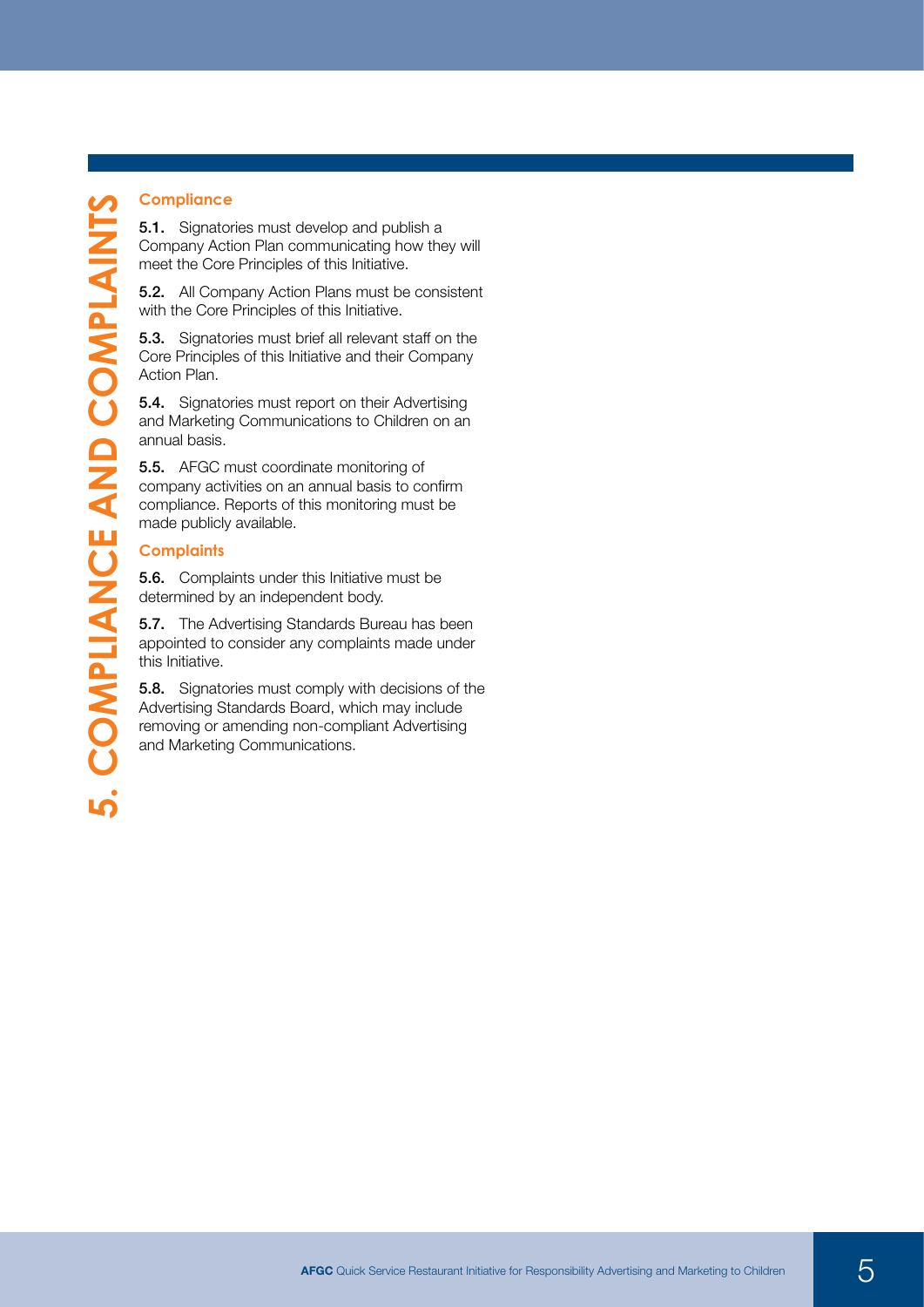#### **Compliance**

**5.1.** Signatories must develop and publish a Company Action Plan communicating how they will meet the Core Principles of this Initiative.

5.2. All Company Action Plans must be consistent with the Core Principles of this Initiative.

5.3. Signatories must brief all relevant staff on the Core Principles of this Initiative and their Company Action Plan.

**5.4.** Signatories must report on their Advertising and Marketing Communications to Children on an annual basis.

5.5. AFGC must coordinate monitoring of company activities on an annual basis to confirm compliance. Reports of this monitoring must be made publicly available.

#### **Complaints**

5.6. Complaints under this Initiative must be determined by an independent body.

5.7. The Advertising Standards Bureau has been appointed to consider any complaints made under this Initiative.

5.8. Signatories must comply with decisions of the Advertising Standards Board, which may include removing or amending non-compliant Advertising and Marketing Communications.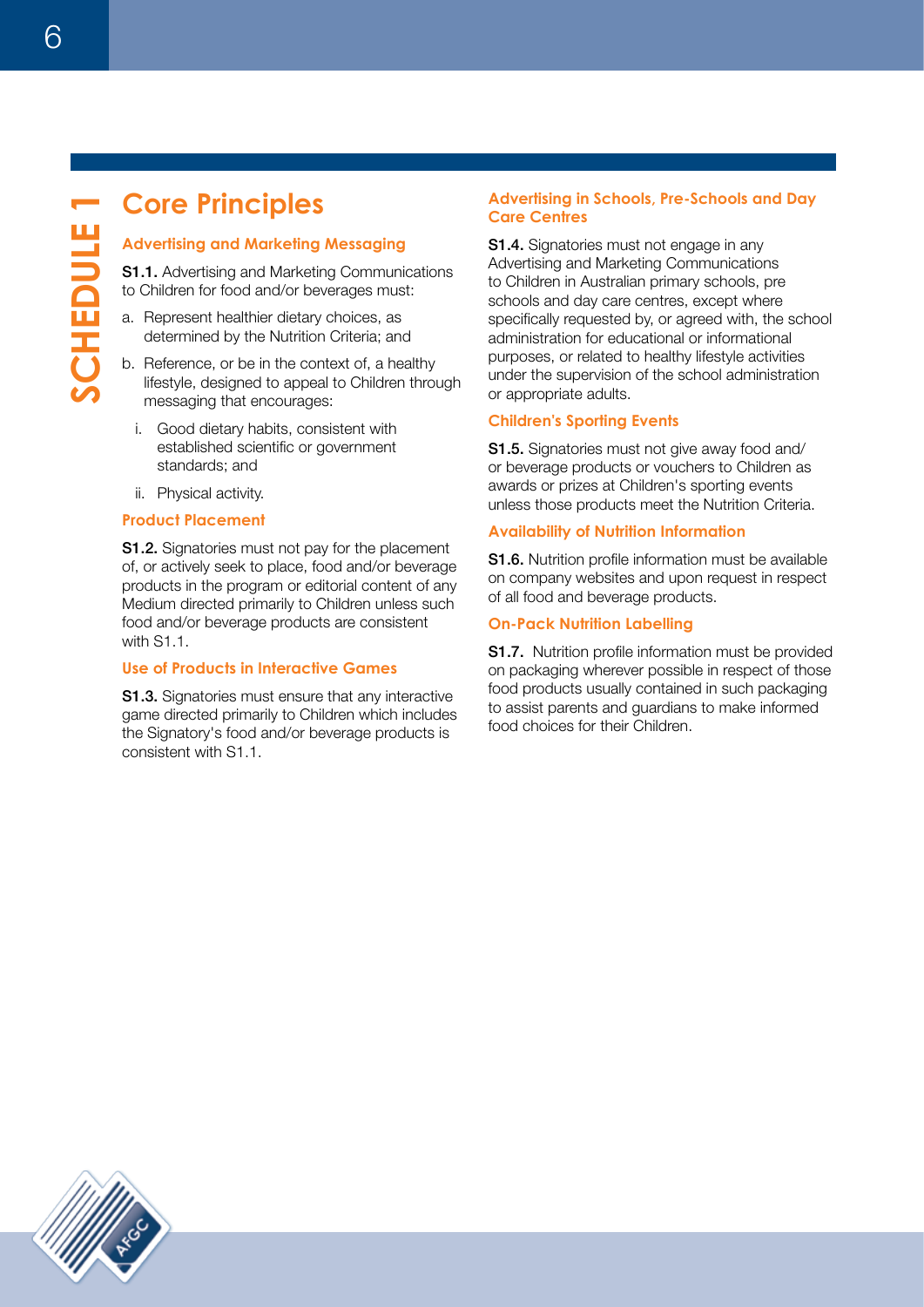# **Core Principles**

#### **Advertising and Marketing Messaging**

S1.1. Advertising and Marketing Communications to Children for food and/or beverages must:

- a. Represent healthier dietary choices, as determined by the Nutrition Criteria; and
- b. Reference, or be in the context of, a healthy lifestyle, designed to appeal to Children through messaging that encourages:
	- i. Good dietary habits, consistent with established scientific or government standards; and
	- ii. Physical activity.

#### **Product Placement**

**S1.2.** Signatories must not pay for the placement of, or actively seek to place, food and/or beverage products in the program or editorial content of any Medium directed primarily to Children unless such food and/or beverage products are consistent with S1.1.

#### **Use of Products in Interactive Games**

**S1.3.** Signatories must ensure that any interactive game directed primarily to Children which includes the Signatory's food and/or beverage products is consistent with S1.1.

#### **Advertising in Schools, Pre-Schools and Day Care Centres**

S1.4. Signatories must not engage in any Advertising and Marketing Communications to Children in Australian primary schools, pre schools and day care centres, except where specifically requested by, or agreed with, the school administration for educational or informational purposes, or related to healthy lifestyle activities under the supervision of the school administration or appropriate adults.

#### **Children's Sporting Events**

S1.5. Signatories must not give away food and/ or beverage products or vouchers to Children as awards or prizes at Children's sporting events unless those products meet the Nutrition Criteria.

#### **Availability of Nutrition Information**

S1.6. Nutrition profile information must be available on company websites and upon request in respect of all food and beverage products.

#### **On-Pack Nutrition Labelling**

**S1.7.** Nutrition profile information must be provided on packaging wherever possible in respect of those food products usually contained in such packaging to assist parents and guardians to make informed food choices for their Children.

**SCHEDULE 1**SCHEDULE

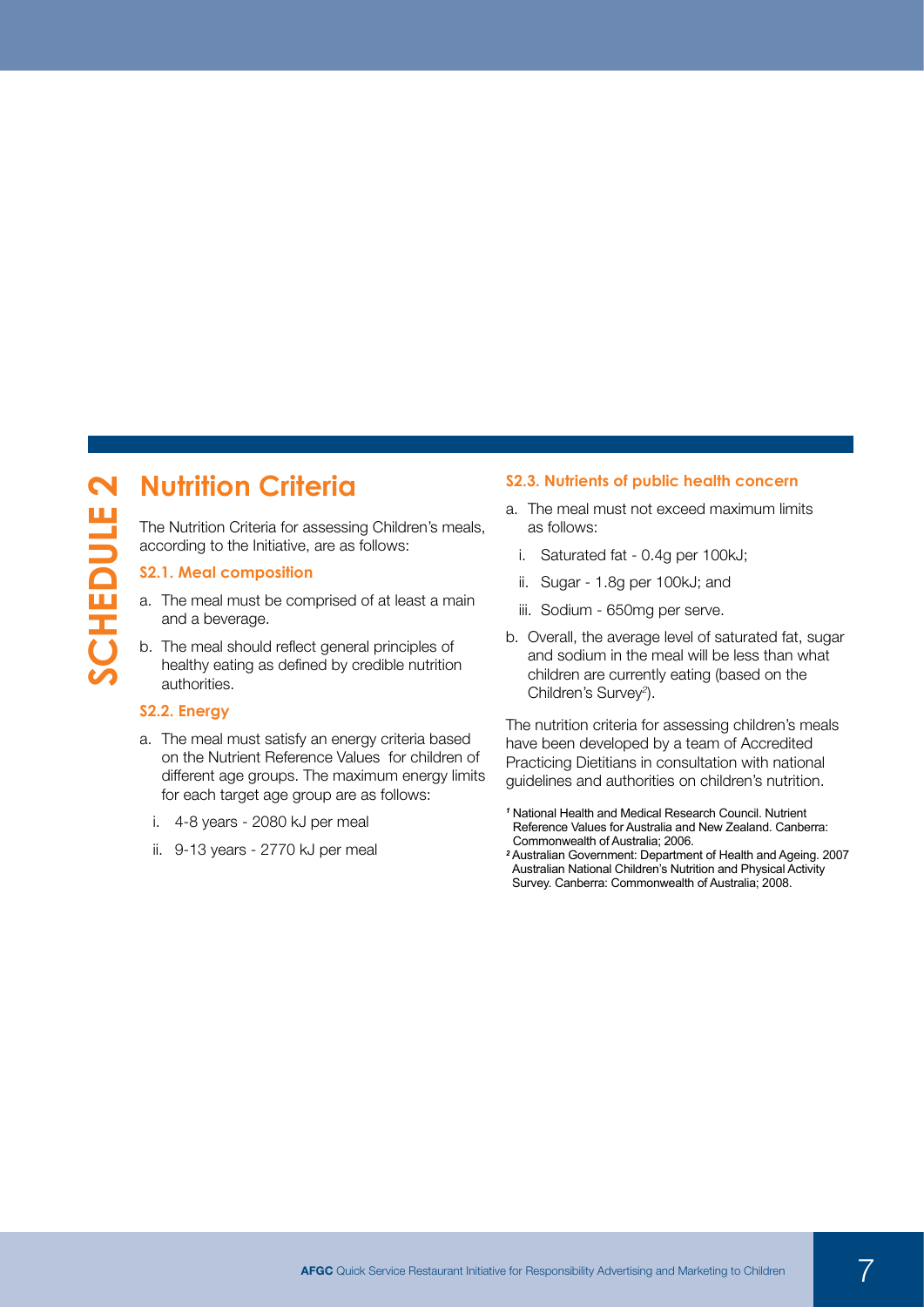## **Nutrition Criteria**

The Nutrition Criteria for assessing Children's meals, according to the Initiative, are as follows:

#### **S2.1. Meal composition**

- a. The meal must be comprised of at least a main and a beverage.
- b. The meal should reflect general principles of healthy eating as defined by credible nutrition authorities.

#### **S2.2. Energy**

- a. The meal must satisfy an energy criteria based on the Nutrient Reference Values for children of different age groups. The maximum energy limits for each target age group are as follows:
	- i. 4-8 years 2080 kJ per meal
	- ii. 9-13 years 2770 kJ per meal

#### **S2.3. Nutrients of public health concern**

- a. The meal must not exceed maximum limits as follows:
	- i. Saturated fat 0.4g per 100kJ;
	- ii. Sugar 1.8g per 100kJ; and
	- iii. Sodium 650mg per serve.
- b. Overall, the average level of saturated fat, sugar and sodium in the meal will be less than what children are currently eating (based on the Children's Survey*<sup>2</sup>* ).

The nutrition criteria for assessing children's meals have been developed by a team of Accredited Practicing Dietitians in consultation with national guidelines and authorities on children's nutrition.

*<sup>1</sup>* National Health and Medical Research Council. Nutrient Reference Values for Australia and New Zealand. Canberra: Commonwealth of Australia; 2006.

*<sup>2</sup>* Australian Government: Department of Health and Ageing. 2007 Australian National Children's Nutrition and Physical Activity Survey. Canberra: Commonwealth of Australia; 2008.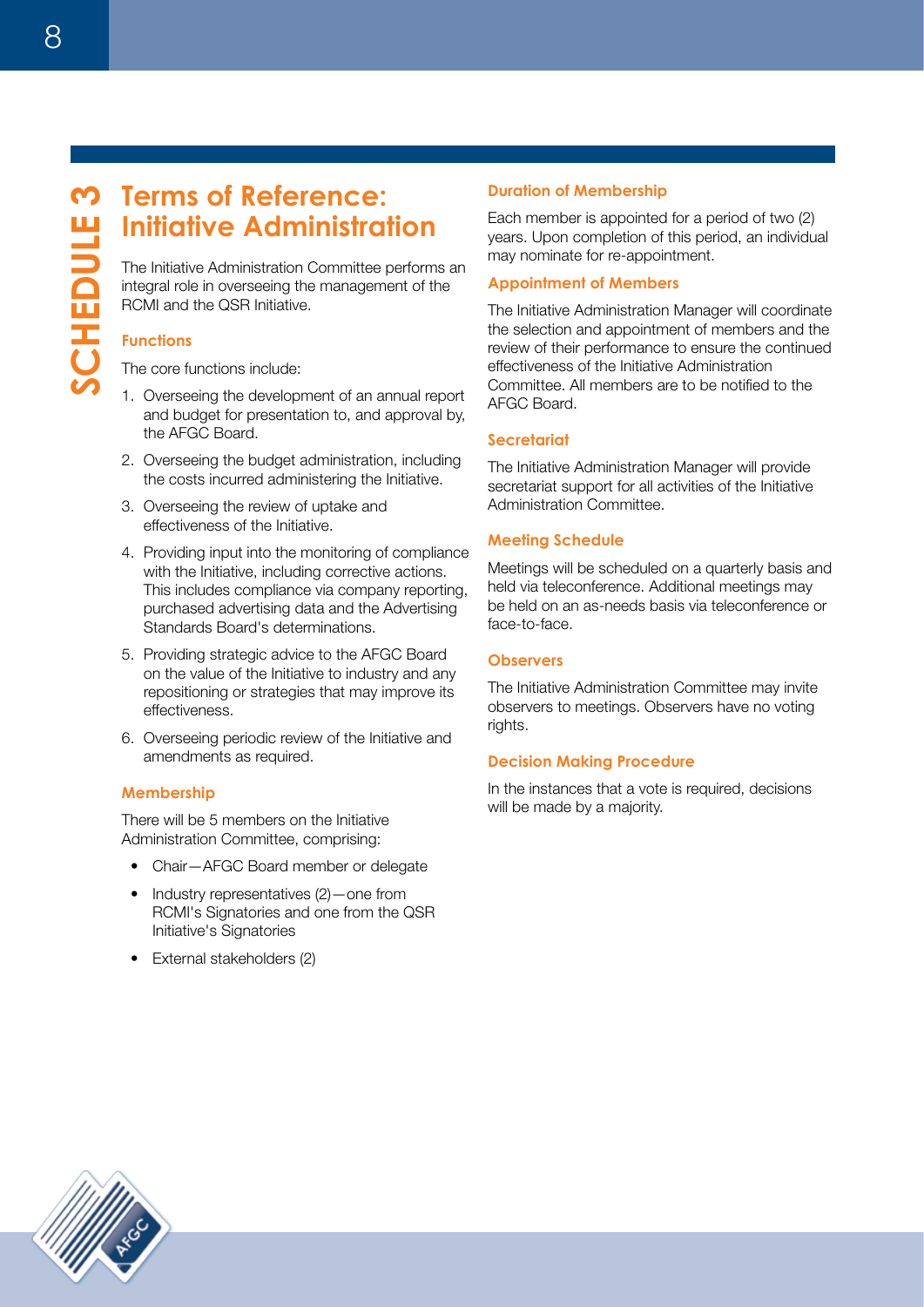## **Terms of Reference: Initiative Administration**

The Initiative Administration Committee performs an integral role in overseeing the management of the RCMI and the QSR Initiative.

#### **Functions**

The core functions include:

- 1. Overseeing the development of an annual report and budget for presentation to, and approval by, the AFGC Board.
- 2. Overseeing the budget administration, including the costs incurred administering the Initiative.
- 3. Overseeing the review of uptake and effectiveness of the Initiative.
- 4. Providing input into the monitoring of compliance with the Initiative, including corrective actions. This includes compliance via company reporting, purchased advertising data and the Advertising Standards Board's determinations.
- 5. Providing strategic advice to the AFGC Board on the value of the Initiative to industry and any repositioning or strategies that may improve its effectiveness.
- 6. Overseeing periodic review of the Initiative and amendments as required.

#### **Membership**

There will be 5 members on the Initiative Administration Committee, comprising:

- Chair-AFGC Board member or delegate
- Industry representatives (2)—one from RCMI's Signatories and one from the QSR Initiative's Signatories
- External stakeholders (2)

#### **Duration of Membership**

Each member is appointed for a period of two (2) years. Upon completion of this period, an individual may nominate for re-appointment.

#### **Appointment of Members**

The Initiative Administration Manager will coordinate the selection and appointment of members and the review of their performance to ensure the continued effectiveness of the Initiative Administration Committee. All members are to be notified to the AFGC Board.

#### **Secretariat**

The Initiative Administration Manager will provide secretariat support for all activities of the Initiative Administration Committee.

#### **Meeting Schedule**

Meetings will be scheduled on a quarterly basis and held via teleconference. Additional meetings may be held on an as-needs basis via teleconference or face-to-face.

#### **Observers**

The Initiative Administration Committee may invite observers to meetings. Observers have no voting rights.

#### **Decision Making Procedure**

In the instances that a vote is required, decisions will be made by a majority.

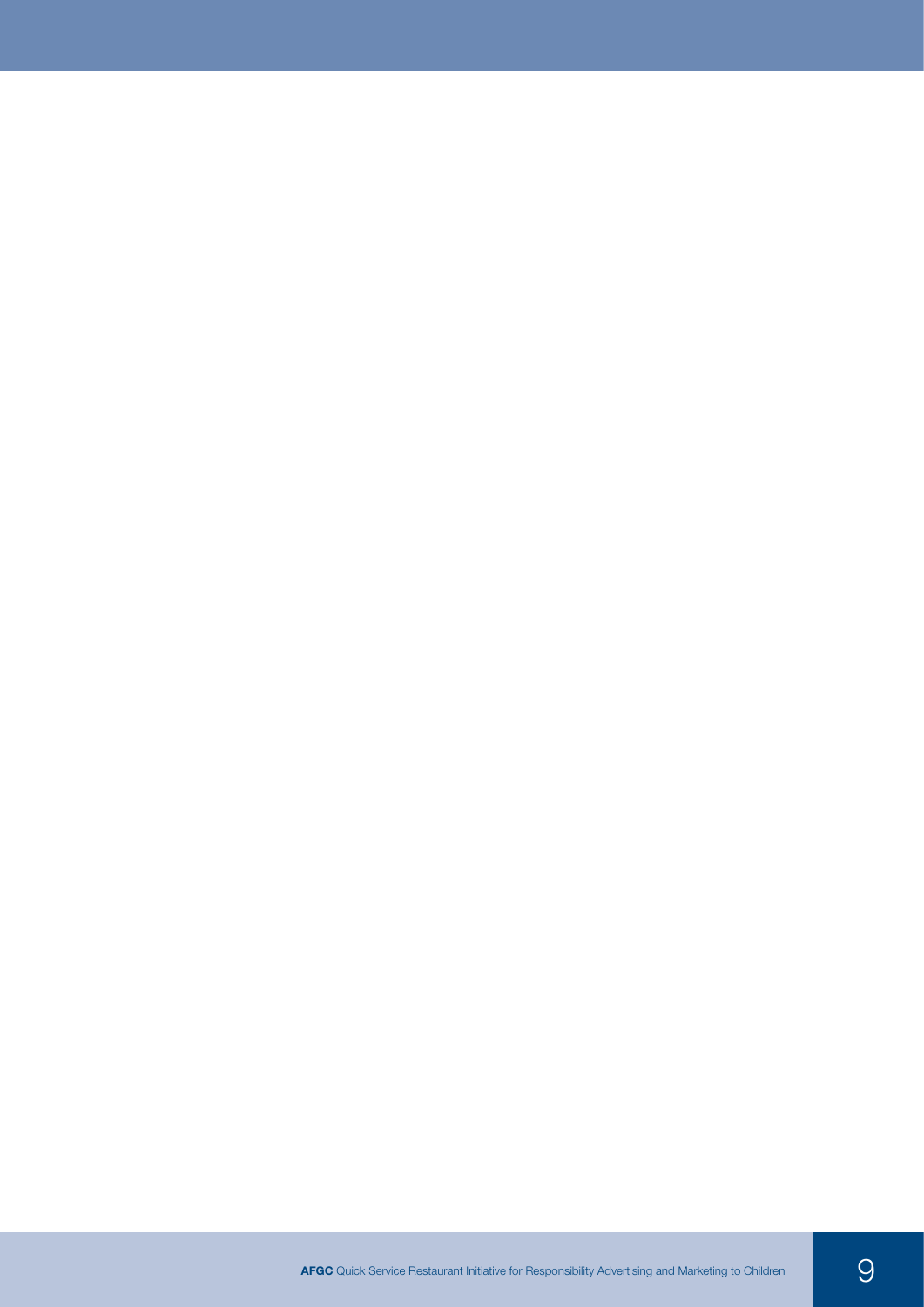#### AFGC Quick Service Restaurant Initiative for Responsibility Advertising and Marketing to Children